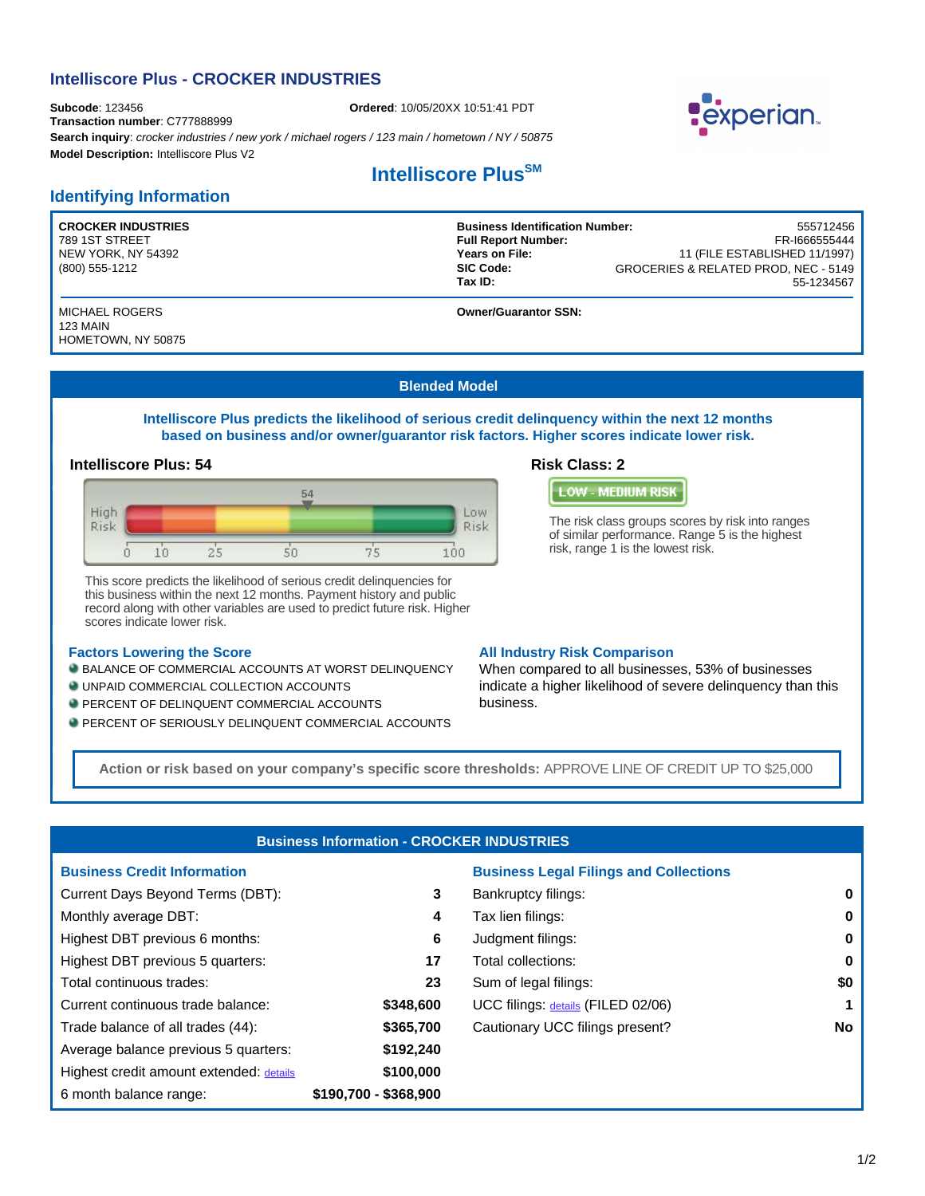# **Intelliscore Plus - CROCKER INDUSTRIES**

**Subcode**: 123456 **Ordered**: 10/05/20XX 10:51:41 PDT **Transaction number**: C777888999 **Search inquiry**: *crocker industries / new york / michael rogers / 123 main / hometown / NY / 50875* **Model Description:** Intelliscore Plus V2

## **Identifying Information**

**CROCKER INDUSTRIES** 789 1ST STREET NEW YORK, NY 54392 (800) 555-1212

MICHAEL ROGERS 123 MAIN HOMETOWN, NY 50875

# **Intelliscore Plus<sup>SM</sup>**

55-1234567 **Business Identification Number:** 555712456 **Full Report Number:** Years on File: 11 (FILE ESTABLISHED 11/1997) **SIC Code: Tax ID:**  GROCERIES & RELATED PROD, NEC - 5149

**Owner/Guarantor SSN:** 

#### **Blended Model**

**Intelliscore Plus predicts the likelihood of serious credit delinquency within the next 12 months based on business and/or owner/guarantor risk factors. Higher scores indicate lower risk.**

### **Intelliscore Plus: 54 Risk Class: 2**



This score predicts the likelihood of serious credit delinquencies for this business within the next 12 months. Payment history and public record along with other variables are used to predict future risk. Higher scores indicate lower risk.

#### **Factors Lowering the Score**

**BALANCE OF COMMERCIAL ACCOUNTS AT WORST DELINQUENCY** 

- UNPAID COMMERCIAL COLLECTION ACCOUNTS
- **PERCENT OF DELINQUENT COMMERCIAL ACCOUNTS**
- **PERCENT OF SERIOUSLY DELINQUENT COMMERCIAL ACCOUNTS**



The risk class groups scores by risk into ranges of similar performance. Range 5 is the highest risk, range 1 is the lowest risk.

#### **All Industry Risk Comparison**

When compared to all businesses, 53% of businesses indicate a higher likelihood of severe delinquency than this business.

**Action or risk based on your company's specific score thresholds:** APPROVE LINE OF CREDIT UP TO \$25,000

|                       | <b>Business Legal Filings and Collections</b> |                                                  |
|-----------------------|-----------------------------------------------|--------------------------------------------------|
| 3                     | Bankruptcy filings:                           | 0                                                |
| 4                     | Tax lien filings:                             | 0                                                |
| 6                     | Judgment filings:                             | 0                                                |
| 17                    | Total collections:                            | 0                                                |
| 23                    | Sum of legal filings:                         | \$0                                              |
| \$348,600             | UCC filings: details (FILED 02/06)            |                                                  |
| \$365,700             | Cautionary UCC filings present?               | No                                               |
| \$192,240             |                                               |                                                  |
| \$100,000             |                                               |                                                  |
| \$190,700 - \$368,900 |                                               |                                                  |
|                       |                                               | <b>Business Information - CROCKER INDUSTRIES</b> |